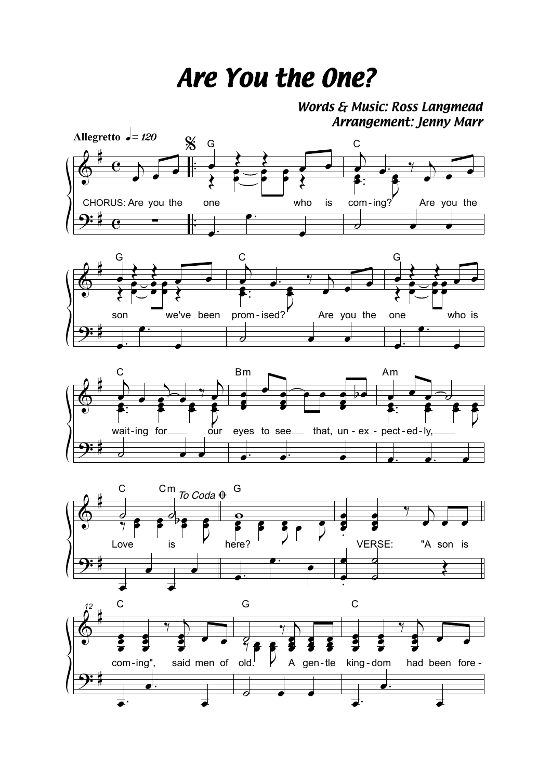## *Are You the One?*

*Words & Music: Ross Langmead Arrangement: Jenny Marr*









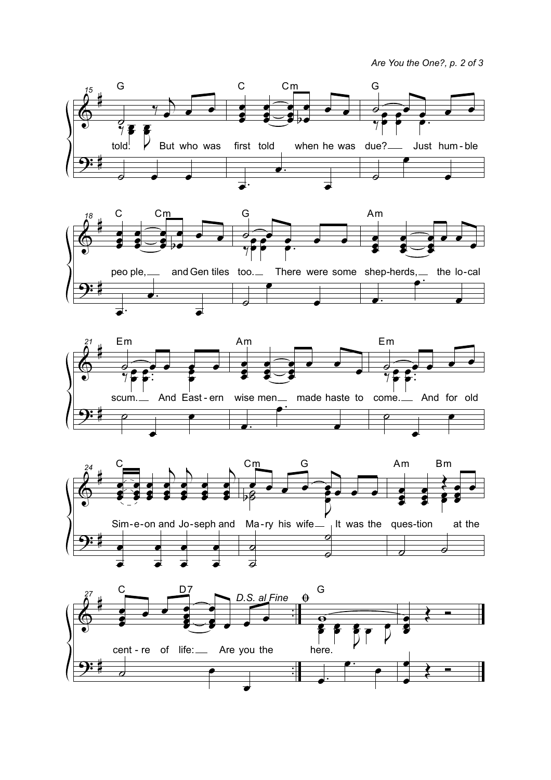Are You the One?, p. 2 of 3